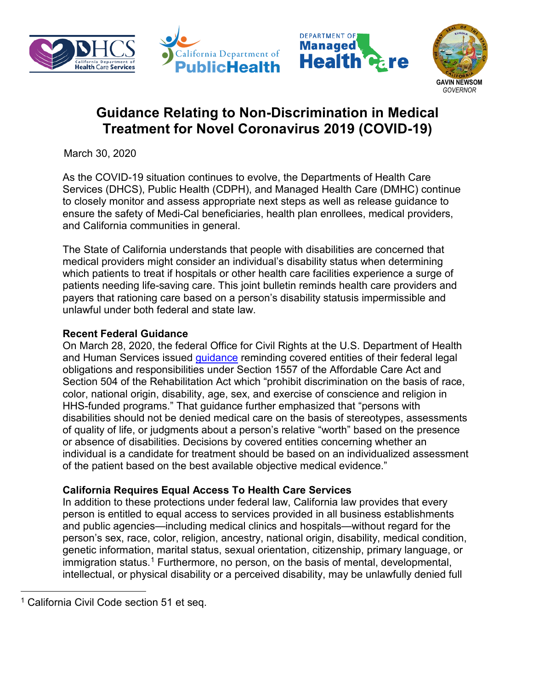





# **Guidance Relating to Non-Discrimination in Medical Treatment for Novel Coronavirus 2019 (COVID-19)**

March 30, 2020

As the COVID-19 situation continues to evolve, the Departments of Health Care Services (DHCS), Public Health (CDPH), and Managed Health Care (DMHC) continue to closely monitor and assess appropriate next steps as well as release guidance to ensure the safety of Medi-Cal beneficiaries, health plan enrollees, medical providers, and California communities in general.

The State of California understands that people with disabilities are concerned that medical providers might consider an individual's disability status when determining which patients to treat if hospitals or other health care facilities experience a surge of patients needing life-saving care. This joint bulletin reminds health care providers and payers that rationing care based on a person's disability statusis impermissible and unlawful under both federal and state law.

## **Recent Federal Guidance**

On March 28, 2020, the federal Office for Civil Rights at the U.S. Department of Health and Human Services issued *guidance* reminding covered entities of their federal legal obligations and responsibilities under Section 1557 of the Affordable Care Act and Section 504 of the Rehabilitation Act which "prohibit discrimination on the basis of race, color, national origin, disability, age, sex, and exercise of conscience and religion in HHS-funded programs." That guidance further emphasized that "persons with disabilities should not be denied medical care on the basis of stereotypes, assessments of quality of life, or judgments about a person's relative "worth" based on the presence or absence of disabilities. Decisions by covered entities concerning whether an individual is a candidate for treatment should be based on an individualized assessment of the patient based on the best available objective medical evidence."

## **California Requires Equal Access To Health Care Services**

In addition to these protections under federal law, California law provides that every person is entitled to equal access to services provided in all business establishments and public agencies—including medical clinics and hospitals—without regard for the person's sex, race, color, religion, ancestry, national origin, disability, medical condition, genetic information, marital status, sexual orientation, citizenship, primary language, or immigration status.<sup>[1](#page-0-0)</sup> Furthermore, no person, on the basis of mental, developmental, intellectual, or physical disability or a perceived disability, may be unlawfully denied full

 $\overline{a}$ 

<span id="page-0-0"></span><sup>&</sup>lt;sup>1</sup> California Civil Code section 51 et seq.